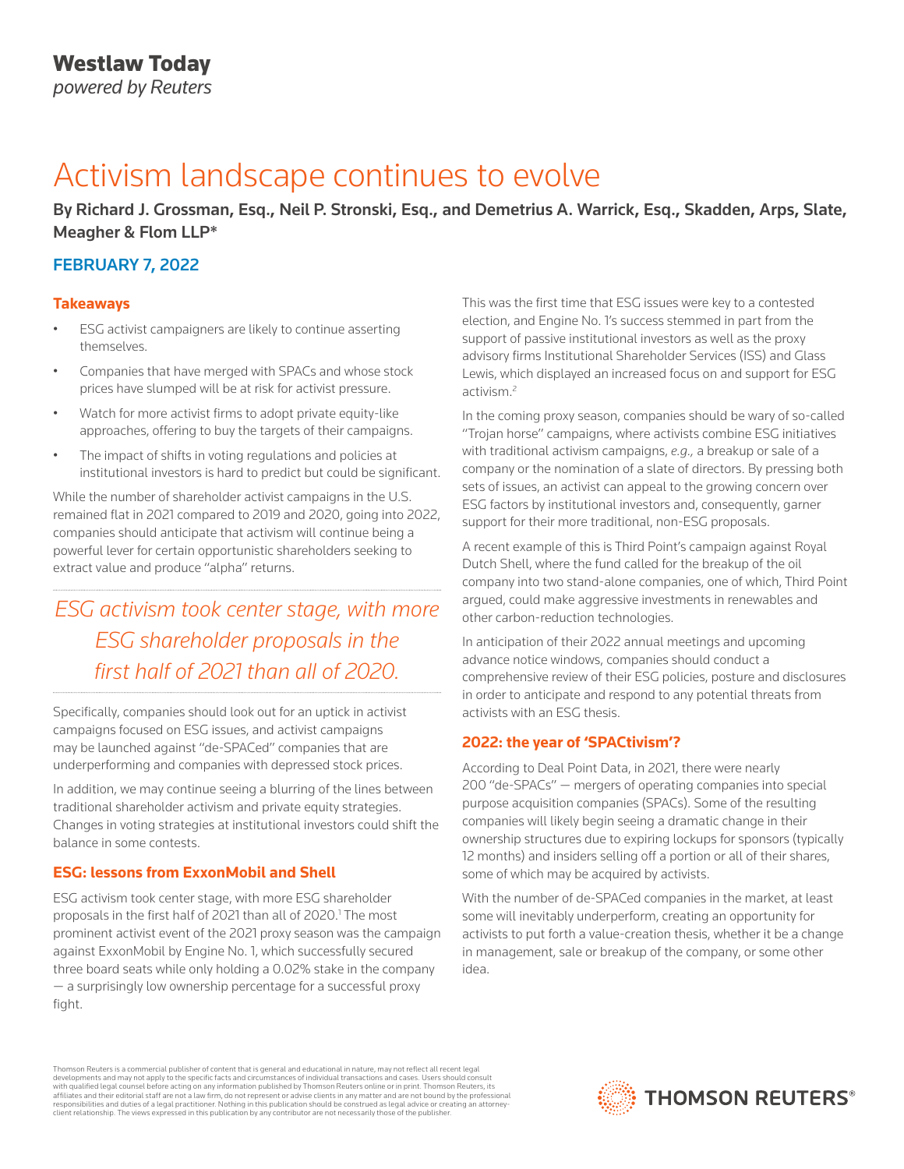# Activism landscape continues to evolve

By Richard J. Grossman, Esq., Neil P. Stronski, Esq., and Demetrius A. Warrick, Esq., Skadden, Arps, Slate, Meagher & Flom LLP\*

### FEBRUARY 7, 2022

### **Takeaways**

- ESG activist campaigners are likely to continue asserting themselves.
- Companies that have merged with SPACs and whose stock prices have slumped will be at risk for activist pressure.
- Watch for more activist firms to adopt private equity-like approaches, offering to buy the targets of their campaigns.
- The impact of shifts in voting regulations and policies at institutional investors is hard to predict but could be significant.

While the number of shareholder activist campaigns in the U.S. remained flat in 2021 compared to 2019 and 2020, going into 2022, companies should anticipate that activism will continue being a powerful lever for certain opportunistic shareholders seeking to extract value and produce "alpha" returns.

### *ESG activism took center stage, with more ESG shareholder proposals in the first half of 2021 than all of 2020.*

Specifically, companies should look out for an uptick in activist campaigns focused on ESG issues, and activist campaigns may be launched against "de-SPACed" companies that are underperforming and companies with depressed stock prices.

In addition, we may continue seeing a blurring of the lines between traditional shareholder activism and private equity strategies. Changes in voting strategies at institutional investors could shift the balance in some contests.

### **ESG: lessons from ExxonMobil and Shell**

ESG activism took center stage, with more ESG shareholder proposals in the first half of 2021 than all of 2020.<sup>1</sup> The most prominent activist event of the 2021 proxy season was the campaign against ExxonMobil by Engine No. 1, which successfully secured three board seats while only holding a 0.02% stake in the company — a surprisingly low ownership percentage for a successful proxy fight.

This was the first time that ESG issues were key to a contested election, and Engine No. 1's success stemmed in part from the support of passive institutional investors as well as the proxy advisory firms Institutional Shareholder Services (ISS) and Glass Lewis, which displayed an increased focus on and support for ESG activism.<sup>2</sup>

In the coming proxy season, companies should be wary of so-called "Trojan horse" campaigns, where activists combine ESG initiatives with traditional activism campaigns, *e.g.,* a breakup or sale of a company or the nomination of a slate of directors. By pressing both sets of issues, an activist can appeal to the growing concern over ESG factors by institutional investors and, consequently, garner support for their more traditional, non-ESG proposals.

A recent example of this is Third Point's campaign against Royal Dutch Shell, where the fund called for the breakup of the oil company into two stand-alone companies, one of which, Third Point argued, could make aggressive investments in renewables and other carbon-reduction technologies.

In anticipation of their 2022 annual meetings and upcoming advance notice windows, companies should conduct a comprehensive review of their ESG policies, posture and disclosures in order to anticipate and respond to any potential threats from activists with an ESG thesis.

### **2022: the year of 'SPACtivism'?**

According to Deal Point Data, in 2021, there were nearly 200 "de-SPACs" — mergers of operating companies into special purpose acquisition companies (SPACs). Some of the resulting companies will likely begin seeing a dramatic change in their ownership structures due to expiring lockups for sponsors (typically 12 months) and insiders selling off a portion or all of their shares, some of which may be acquired by activists.

With the number of de-SPACed companies in the market, at least some will inevitably underperform, creating an opportunity for activists to put forth a value-creation thesis, whether it be a change in management, sale or breakup of the company, or some other idea.

Thomson Reuters is a commercial publisher of content that is general and educational in nature, may not reflect all recent legal developments and may not apply to the specific facts and circumstances of individual transactions and cases. Users should consult<br>with qualified legal counsel before acting on any information published by Thomson Reuters o responsibilities and duties of a legal practitioner. Nothing in this publication should be construed as legal advice or creating an attorneyclient relationship. The views expressed in this publication by any contributor are not necessarily those of the publisher.

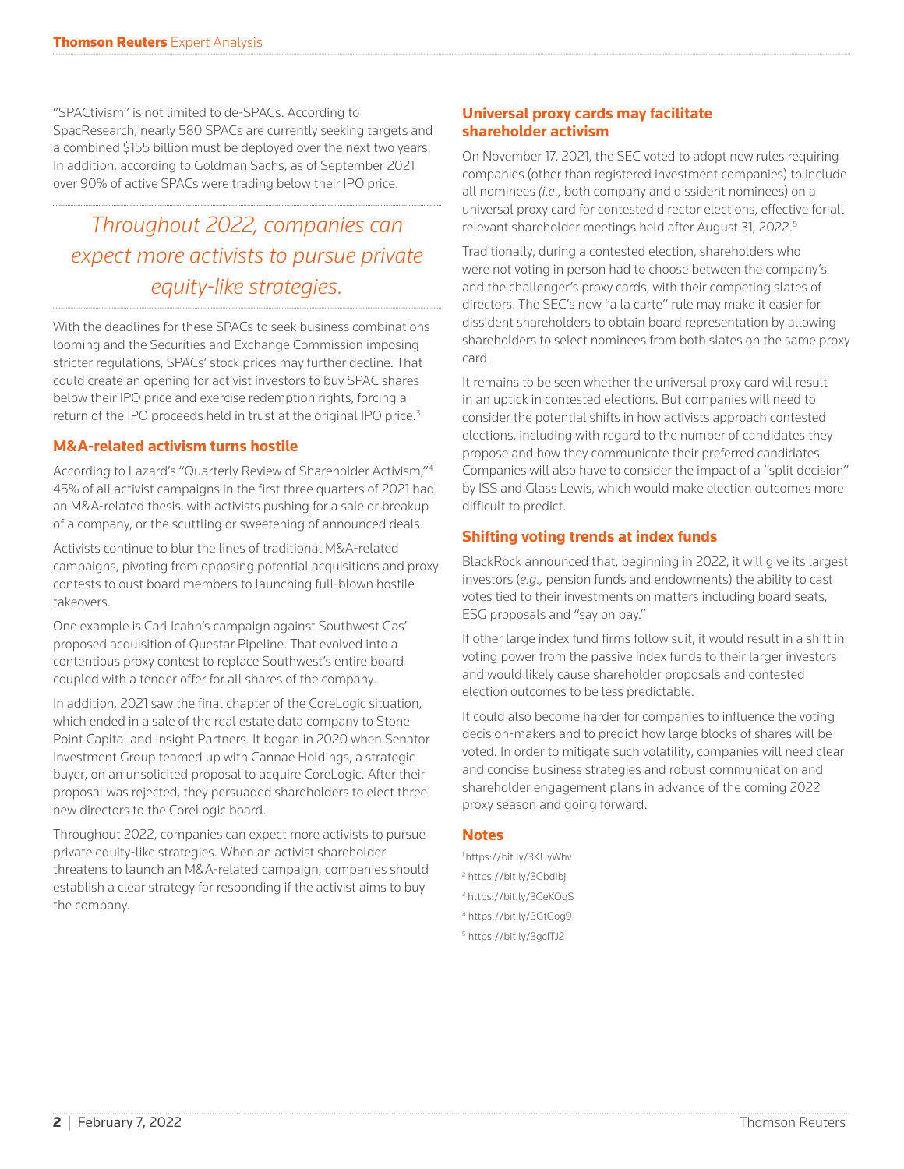"SPACtivism" is not limited to de-SPACs. According to SpacResearch, nearly 580 SPACs are currently seeking targets and a combined \$155 billion must be deployed over the next two years. In addition, according to Goldman Sachs, as of September 2021 over 90% of active SPACs were trading below their IPO price.

## *Throughout 2022, companies can expect more activists to pursue private equity-like strategies.*

With the deadlines for these SPACs to seek business combinations looming and the Securities and Exchange Commission imposing stricter regulations, SPACs' stock prices may further decline. That could create an opening for activist investors to buy SPAC shares below their IPO price and exercise redemption rights, forcing a return of the IPO proceeds held in trust at the original IPO price.<sup>3</sup>

### **M&A-related activism turns hostile**

According to Lazard's "Quarterly Review of Shareholder Activism,"4 45% of all activist campaigns in the first three quarters of 2021 had an M&A-related thesis, with activists pushing for a sale or breakup of a company, or the scuttling or sweetening of announced deals.

Activists continue to blur the lines of traditional M&A-related campaigns, pivoting from opposing potential acquisitions and proxy contests to oust board members to launching full-blown hostile takeovers.

One example is Carl Icahn's campaign against Southwest Gas' proposed acquisition of Questar Pipeline. That evolved into a contentious proxy contest to replace Southwest's entire board coupled with a tender offer for all shares of the company.

In addition, 2021 saw the final chapter of the CoreLogic situation, which ended in a sale of the real estate data company to Stone Point Capital and Insight Partners. It began in 2020 when Senator Investment Group teamed up with Cannae Holdings, a strategic buyer, on an unsolicited proposal to acquire CoreLogic. After their proposal was rejected, they persuaded shareholders to elect three new directors to the CoreLogic board.

Throughout 2022, companies can expect more activists to pursue private equity-like strategies. When an activist shareholder threatens to launch an M&A-related campaign, companies should establish a clear strategy for responding if the activist aims to buy the company.

### **Universal proxy cards may facilitate shareholder activism**

On November 17, 2021, the SEC voted to adopt new rules requiring companies (other than registered investment companies) to include all nominees *(i.e*., both company and dissident nominees) on a universal proxy card for contested director elections, effective for all relevant shareholder meetings held after August 31, 2022.5

Traditionally, during a contested election, shareholders who were not voting in person had to choose between the company's and the challenger's proxy cards, with their competing slates of directors. The SEC's new "a la carte" rule may make it easier for dissident shareholders to obtain board representation by allowing shareholders to select nominees from both slates on the same proxy card.

It remains to be seen whether the universal proxy card will result in an uptick in contested elections. But companies will need to consider the potential shifts in how activists approach contested elections, including with regard to the number of candidates they propose and how they communicate their preferred candidates. Companies will also have to consider the impact of a "split decision" by ISS and Glass Lewis, which would make election outcomes more difficult to predict.

### **Shifting voting trends at index funds**

BlackRock announced that, beginning in 2022, it will give its largest investors (*e.g.,* pension funds and endowments) the ability to cast votes tied to their investments on matters including board seats, ESG proposals and "say on pay."

If other large index fund firms follow suit, it would result in a shift in voting power from the passive index funds to their larger investors and would likely cause shareholder proposals and contested election outcomes to be less predictable.

It could also become harder for companies to influence the voting decision-makers and to predict how large blocks of shares will be voted. In order to mitigate such volatility, companies will need clear and concise business strategies and robust communication and shareholder engagement plans in advance of the coming 2022 proxy season and going forward.

#### **Notes**

- 1 https://bit.ly/3KUyWhv <sup>2</sup> https://bit.ly/3Gbdlbj 3 https://bit.ly/3GeKOqS
- 4 https://bit.ly/3GtGog9
- 5 https://bit.ly/3gcITJ2